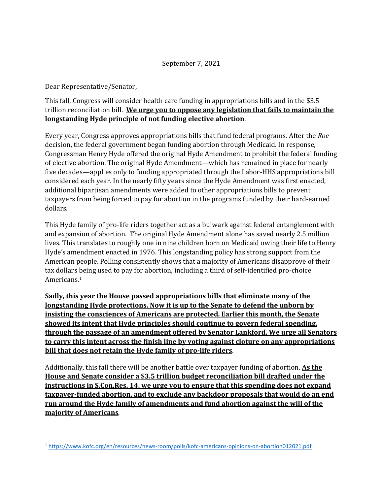## September 7, 2021

Dear Representative/Senator,

## This fall, Congress will consider health care funding in appropriations bills and in the \$3.5 trillion reconciliation bill. **We urge you to oppose any legislation that fails to maintain the longstanding Hyde principle of not funding elective abortion**.

Every year, Congress approves appropriations bills that fund federal programs. After the *Roe*  decision, the federal government began funding abortion through Medicaid. In response, Congressman Henry Hyde offered the original Hyde Amendment to prohibit the federal funding of elective abortion. The original Hyde Amendment—which has remained in place for nearly five decades—applies only to funding appropriated through the Labor-HHS appropriations bill considered each year. In the nearly fifty years since the Hyde Amendment was first enacted, additional bipartisan amendments were added to other appropriations bills to prevent taxpayers from being forced to pay for abortion in the programs funded by their hard-earned dollars.

This Hyde family of pro-life riders together act as a bulwark against federal entanglement with and expansion of abortion. The original Hyde Amendment alone has saved nearly 2.5 million lives. This translates to roughly one in nine children born on Medicaid owing their life to Henry Hyde's amendment enacted in 1976. This longstanding policy has strong support from the American people. Polling consistently shows that a majority of Americans disapprove of their tax dollars being used to pay for abortion, including a third of self-identified pro-choice Americans.[1](#page-0-0)

**Sadly, this year the House passed appropriations bills that eliminate many of the longstanding Hyde protections. Now it is up to the Senate to defend the unborn by insisting the consciences of Americans are protected. Earlier this month, the Senate showed its intent that Hyde principles should continue to govern federal spending, through the passage of an amendment offered by Senator Lankford. We urge all Senators to carry this intent across the finish line by voting against cloture on any appropriations bill that does not retain the Hyde family of pro-life riders**.

Additionally, this fall there will be another battle over taxpayer funding of abortion. **As the House and Senate consider a \$3.5 trillion budget reconciliation bill drafted under the instructions in S.Con.Res. 14, we urge you to ensure that this spending does not expand taxpayer-funded abortion, and to exclude any backdoor proposals that would do an end run around the Hyde family of amendments and fund abortion against the will of the majority of Americans**.

<span id="page-0-0"></span><sup>1</sup> <https://www.kofc.org/en/resources/news-room/polls/kofc-americans-opinions-on-abortion012021.pdf>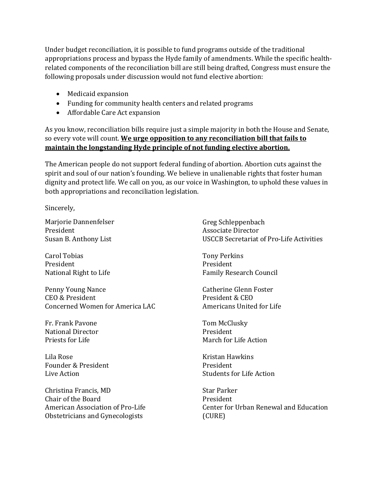Under budget reconciliation, it is possible to fund programs outside of the traditional appropriations process and bypass the Hyde family of amendments. While the specific healthrelated components of the reconciliation bill are still being drafted, Congress must ensure the following proposals under discussion would not fund elective abortion:

- Medicaid expansion
- Funding for community health centers and related programs
- Affordable Care Act expansion

As you know, reconciliation bills require just a simple majority in both the House and Senate, so every vote will count. **We urge opposition to any reconciliation bill that fails to maintain the longstanding Hyde principle of not funding elective abortion.**

The American people do not support federal funding of abortion. Abortion cuts against the spirit and soul of our nation's founding. We believe in unalienable rights that foster human dignity and protect life. We call on you, as our voice in Washington, to uphold these values in both appropriations and reconciliation legislation.

Sincerely,

Marjorie Dannenfelser President Susan B. Anthony List

Carol Tobias President National Right to Life

Penny Young Nance CEO & President Concerned Women for America LAC

Fr. Frank Pavone National Director Priests for Life

Lila Rose Founder & President Live Action

Christina Francis, MD Chair of the Board American Association of Pro-Life Obstetricians and Gynecologists

Greg Schleppenbach Associate Director USCCB Secretariat of Pro-Life Activities

Tony Perkins President Family Research Council

Catherine Glenn Foster President & CEO Americans United for Life

Tom McClusky President March for Life Action

Kristan Hawkins President Students for Life Action

Star Parker President Center for Urban Renewal and Education (CURE)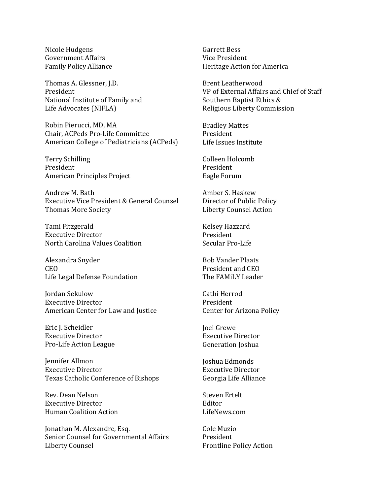Nicole Hudgens Government Affairs Family Policy Alliance

Thomas A. Glessner, J.D. President National Institute of Family and Life Advocates (NIFLA)

Robin Pierucci, MD, MA Chair, ACPeds Pro-Life Committee American College of Pediatricians (ACPeds)

Terry Schilling President American Principles Project

Andrew M. Bath Executive Vice President & General Counsel Thomas More Society

Tami Fitzgerald Executive Director North Carolina Values Coalition

Alexandra Snyder CEO Life Legal Defense Foundation

Jordan Sekulow Executive Director American Center for Law and Justice

Eric J. Scheidler Executive Director Pro-Life Action League

Jennifer Allmon Executive Director Texas Catholic Conference of Bishops

Rev. Dean Nelson Executive Director Human Coalition Action

Jonathan M. Alexandre, Esq. Senior Counsel for Governmental Affairs Liberty Counsel

Garrett Bess Vice President Heritage Action for America

Brent Leatherwood VP of External Affairs and Chief of Staff Southern Baptist Ethics & Religious Liberty Commission

Bradley Mattes President Life Issues Institute

Colleen Holcomb President Eagle Forum

Amber S. Haskew Director of Public Policy Liberty Counsel Action

Kelsey Hazzard President Secular Pro-Life

Bob Vander Plaats President and CEO The FAMiLY Leader

Cathi Herrod President Center for Arizona Policy

Joel Grewe Executive Director Generation Joshua

Joshua Edmonds Executive Director Georgia Life Alliance

Steven Ertelt Editor LifeNews.com

Cole Muzio President Frontline Policy Action